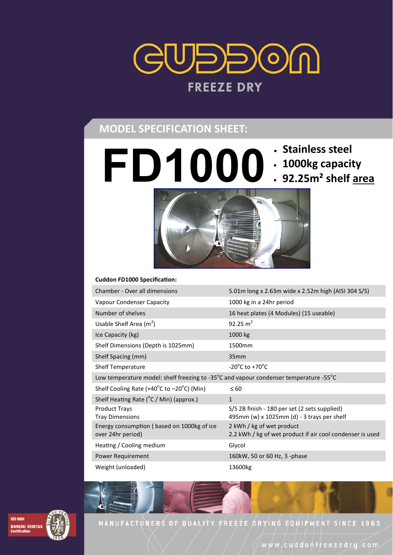

# **MODEL SPECIFICATION SHEET:**

- 
- **1000kg capacity**
- **FD1000 Stainless steel 92.25m² shelf area**



| Chamber - Over all dimensions                                                         | 5.01m long x 2.63m wide x 2.52m high (AISI 304 S/S)                                         |
|---------------------------------------------------------------------------------------|---------------------------------------------------------------------------------------------|
| Vapour Condenser Capacity                                                             | 1000 kg in a 24hr period                                                                    |
| Number of shelves                                                                     | 16 heat plates (4 Modules) (15 useable)                                                     |
| Usable Shelf Area $(m^2)$                                                             | 92.25 $m^2$                                                                                 |
| Ice Capacity (kg)                                                                     | 1000 kg                                                                                     |
| Shelf Dimensions (Depth is 1025mm)                                                    | 1500mm                                                                                      |
| Shelf Spacing (mm)                                                                    | 35mm                                                                                        |
| Shelf Temperature                                                                     | -20 $\mathrm{^{\circ}C}$ to +70 $\mathrm{^{\circ}C}$                                        |
| Low temperature model: shelf freezing to -35°C and vapour condenser temperature -55°C |                                                                                             |
| Shelf Cooling Rate (+40°C to −20°C) (Min)                                             | $\leq 60$                                                                                   |
| Shelf Heating Rate (°C / Min) (approx.)                                               | $\mathbf{1}$                                                                                |
| <b>Product Trays</b><br><b>Tray Dimensions</b>                                        | S/S 2B finish - 180 per set (2 sets supplied)<br>495mm (w) x 1025mm (d) - 3 trays per shelf |
| Energy consumption (based on 1000kg of ice<br>over 24hr period)                       | 2 kWh / kg of wet product<br>2.2 kWh / kg of wet product if air cool condenser is used      |
| Heating / Cooling medium                                                              | Glycol                                                                                      |
| Power Requirement                                                                     | 160kW, 50 or 60 Hz, 3 -phase                                                                |
| Weight (unloaded)                                                                     | 13600kg                                                                                     |



MANUFACTURERS OF QUALITY FREEZE DRYING EQUIPMENT SINCE 1963

www/cuddonfreezedry.com